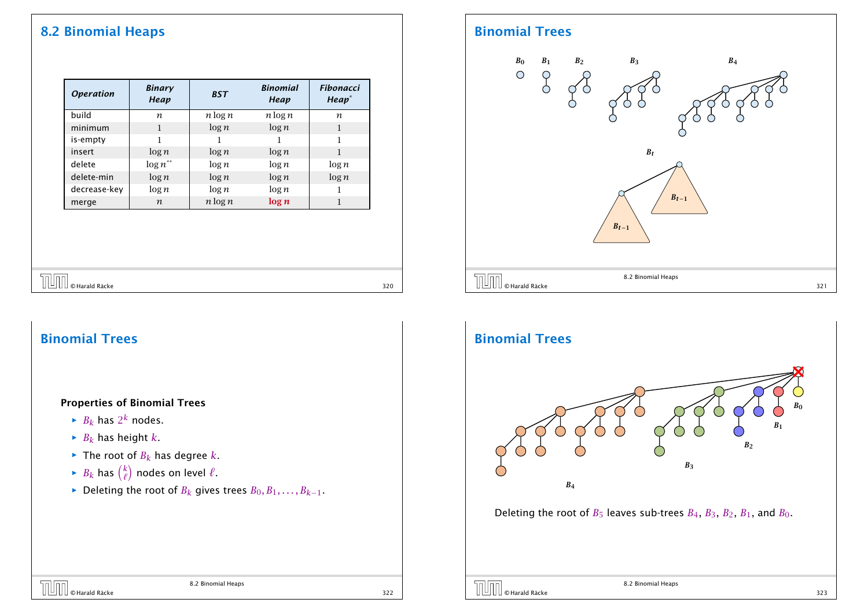## 8.2 Binomial Heaps

| <b>Operation</b> | <b>Binary</b><br>Heap | <b>BST</b> | <b>Binomial</b><br>Heap | <b>Fibonacci</b><br>Heap <sup>*</sup> |
|------------------|-----------------------|------------|-------------------------|---------------------------------------|
| build            | n                     | $n \log n$ | $n \log n$              | n                                     |
| minimum          | 1                     | $\log n$   | $\log n$                | 1                                     |
| is-empty         | 1                     |            |                         | 1                                     |
| insert           | $\log n$              | $\log n$   | $\log n$                | 1                                     |
| delete           | $\log n^{**}$         | $\log n$   | $\log n$                | $\log n$                              |
| delete-min       | $\log n$              | $\log n$   | $\log n$                | $\log n$                              |
| decrease-key     | $\log n$              | $\log n$   | $\log n$                |                                       |
| merge            | $\boldsymbol{n}$      | $n \log n$ | log n                   | 1                                     |

# $\overline{U}$   $\overline{U}$   $\overline{U}$   $\overline{U}$   $\overline{U}$   $\overline{U}$   $\overline{U}$   $\overline{U}$   $\overline{U}$   $\overline{U}$   $\overline{U}$   $\overline{U}$   $\overline{U}$   $\overline{U}$   $\overline{U}$   $\overline{U}$   $\overline{U}$   $\overline{U}$   $\overline{U}$   $\overline{U}$   $\overline{U}$   $\overline{U}$   $\overline{U}$   $\overline{U}$   $\overline{$

# Binomial Trees

#### Properties of Binomial Trees

- $\blacktriangleright$  *B*<sub>*k*</sub> has 2<sup>*k*</sup> nodes.
- $\blacktriangleright$  *B*<sub>*k*</sub> has height *k*.
- $\blacktriangleright$  The root of  $B_k$  has degree *k*.
- $\blacktriangleright$  *B*<sup>*k*</sup> has  $\binom{k}{\ell}$ *`* ) nodes on level  $\ell$ .
- *►* Deleting the root of *B*<sup>*k*</sup> gives trees  $B_0, B_1, \ldots, B_{k-1}$ .

### Binomial Trees



### Binomial Trees



8.2 Binomial Heaps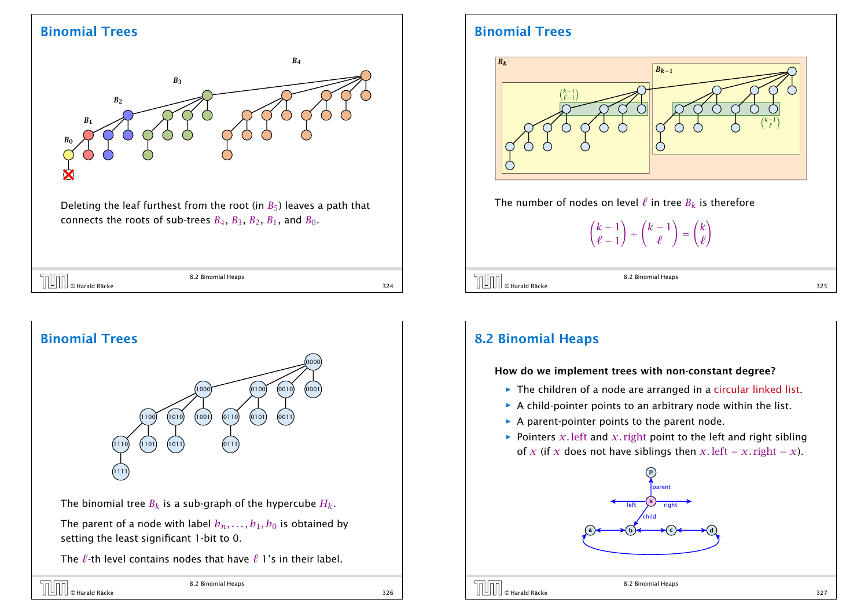### Binomial Trees



Deleting the leaf furthest from the root (in  $B_5$ ) leaves a path that connects the roots of sub-trees  $B_4$ ,  $B_3$ ,  $B_2$ ,  $B_1$ , and  $B_0$ .

| Heaps<br>$D_{1}$ $\sim$ $\sim$ $\sim$ $\sim$ |     |
|----------------------------------------------|-----|
|                                              | 324 |



The binomial tree  $B_k$  is a sub-graph of the hypercube  $H_k$ .

The parent of a node with label  $b_n$ , ...,  $b_1$ ,  $b_0$  is obtained by setting the least significant 1-bit to 0.

The  $\ell$ -th level contains nodes that have  $\ell$  1's in their label.



## Binomial Trees



The number of nodes on level  $\ell$  in tree  $B_k$  is therefore

 $(k - 1)$  $\ell - 1$ ! +  $(k - 1)$ *`* ! = *k `* !

 $\overline{O}$   $\overline{O}$   $\overline{O}$  Harald Räcke 325

8.2 Binomial Heaps

## 8.2 Binomial Heaps

#### How do we implement trees with non-constant degree?

- **▶ The children of a node are arranged in a circular linked list.**
- $\triangleright$  A child-pointer points to an arbitrary node within the list.
- ▶ A parent-pointer points to the parent node.
- **Pointers** *x*. left and *x*. right point to the left and right sibling of *x* (if *x* does not have siblings then *x*. left = *x*. right = *x*).





8.2 Binomial Heaps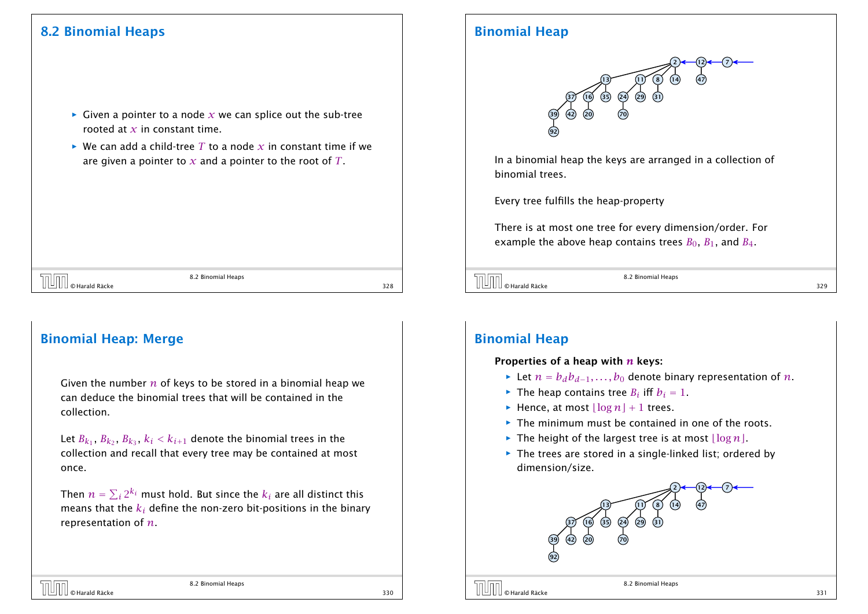## 8.2 Binomial Heaps

- $\blacktriangleright$  Given a pointer to a node *x* we can splice out the sub-tree rooted at *x* in constant time.
- $\triangleright$  We can add a child-tree *T* to a node *x* in constant time if we are given a pointer to *x* and a pointer to the root of *T*.

 $\overline{0}$  Marald Räcke 328<br>328<br>328

8.2 Binomial Heaps

### Binomial Heap: Merge

Given the number *n* of keys to be stored in a binomial heap we can deduce the binomial trees that will be contained in the collection.

Let  $B_{k_1}$ ,  $B_{k_2}$ ,  $B_{k_3}$ ,  $k_i < k_{i+1}$  denote the binomial trees in the collection and recall that every tree may be contained at most once.

Then  $n=\sum_i 2^{k_i}$  must hold. But since the  $k_i$  are all distinct this means that the *k<sup>i</sup>* define the non-zero bit-positions in the binary representation of *n*.

### Binomial Heap



In a binomial heap the keys are arranged in a collection of binomial trees.

Every tree fulfills the heap-property

There is at most one tree for every dimension/order. For example the above heap contains trees  $B_0$ ,  $B_1$ , and  $B_4$ .



8.2 Binomial Heaps

### Binomial Heap

#### Properties of a heap with *n* keys:

- *►* Let  $n = b_d b_{d-1}, \ldots, b_0$  denote binary representation of *n*.
- $\blacktriangleright$  The heap contains tree *B*<sup>*i*</sup> iff *b*<sup>*i*</sup> = 1.
- $\blacktriangleright$  Hence, at most  $\lfloor \log n \rfloor + 1$  trees.
- **Fig. 2** The minimum must be contained in one of the roots.
- $\blacktriangleright$  The height of the largest tree is at most  $\lfloor \log n \rfloor$ .
- **▶ The trees are stored in a single-linked list; ordered by** dimension/size.

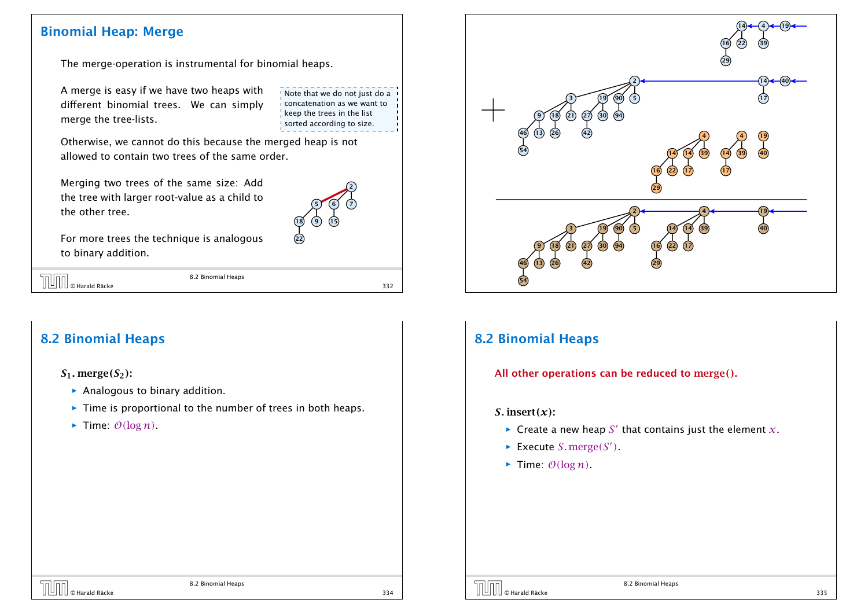### Binomial Heap: Merge

The merge-operation is instrumental for binomial heaps.

A merge is easy if we have two heaps with different binomial trees. We can simply merge the tree-lists.

Note that we do not just do a concatenation as we want to  $k$  keep the trees in the list sorted according to size.

Otherwise, we cannot do this because the merged heap is not allowed to contain two trees of the same order.

Merging two trees of the same size: Add the tree with larger root-value as a child to the other tree.



For more trees the technique is analogous to binary addition.

| $\boxed{\frac{1}{\mathcal{O}}\mathcal{O}}$ $\circ$ Harald Räcke | 8.2 Binomial Heaps |     |
|-----------------------------------------------------------------|--------------------|-----|
|                                                                 |                    | 332 |

 $\overline{a}$ 

8.2 Binomial Heaps

## 8.2 Binomial Heaps

*S*1*.* merge*(S*2*)*:

- $\blacktriangleright$  Analogous to binary addition.
- **Fime is proportional to the number of trees in both heaps.**
- $\blacktriangleright$  Time:  $\mathcal{O}(\log n)$ .



## 8.2 Binomial Heaps

All other operations can be reduced to merge*()*.

#### *S.* insert*(x)*:

- $\blacktriangleright$  Create a new heap *S'* that contains just the element *x*.
- $\blacktriangleright$  Execute *S*. merge(*S'*).
- $\blacktriangleright$  Time:  $\mathcal{O}(\log n)$ .